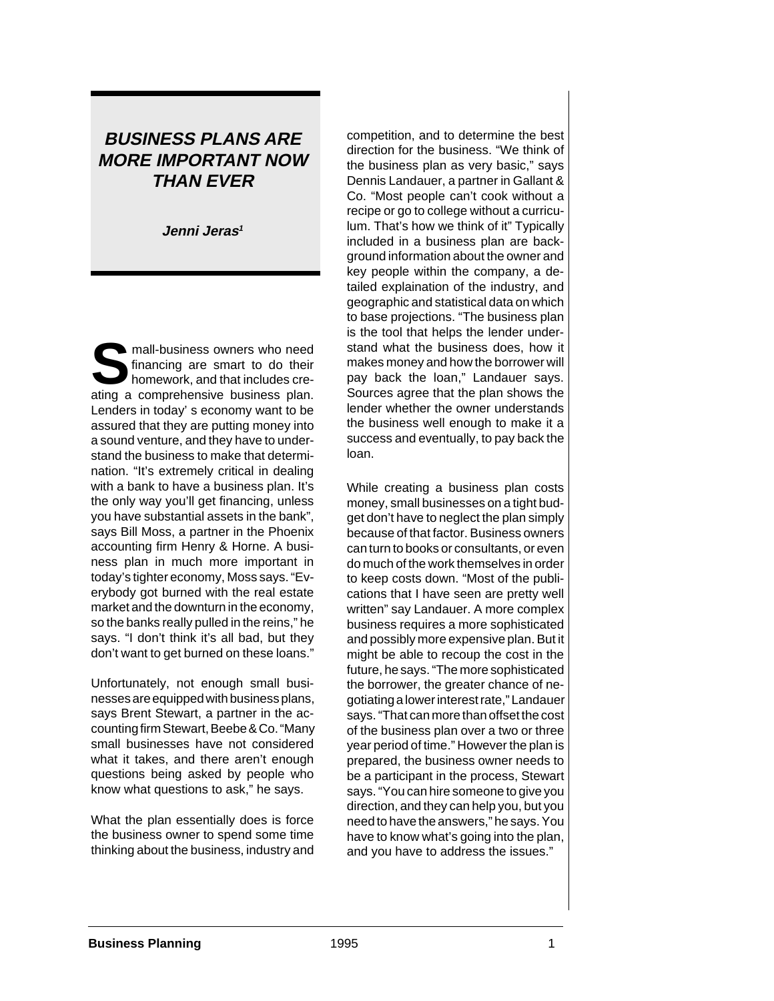# **BUSINESS PLANS ARE MORE IMPORTANT NOW THAN EVER**

**Jenni Jeras<sup>1</sup>**

**S**mall-business owners who need<br>tinancing are smart to do their<br>homework, and that includes crefinancing are smart to do their ating a comprehensive business plan. Lenders in today' s economy want to be assured that they are putting money into a sound venture, and they have to understand the business to make that determination. "It's extremely critical in dealing with a bank to have a business plan. It's the only way you'll get financing, unless you have substantial assets in the bank", says Bill Moss, a partner in the Phoenix accounting firm Henry & Horne. A business plan in much more important in today's tighter economy, Moss says. "Everybody got burned with the real estate market and the downturn in the economy, so the banks really pulled in the reins," he says. "I don't think it's all bad, but they don't want to get burned on these loans."

Unfortunately, not enough small businesses are equipped with business plans, says Brent Stewart, a partner in the accounting firm Stewart, Beebe & Co. "Many small businesses have not considered what it takes, and there aren't enough questions being asked by people who know what questions to ask," he says.

What the plan essentially does is force the business owner to spend some time thinking about the business, industry and competition, and to determine the best direction for the business. "We think of the business plan as very basic," says Dennis Landauer, a partner in Gallant & Co. "Most people can't cook without a recipe or go to college without a curriculum. That's how we think of it" Typically included in a business plan are background information about the owner and key people within the company, a detailed explaination of the industry, and geographic and statistical data on which to base projections. "The business plan is the tool that helps the lender understand what the business does, how it makes money and how the borrower will pay back the loan," Landauer says. Sources agree that the plan shows the lender whether the owner understands the business well enough to make it a success and eventually, to pay back the loan.

While creating a business plan costs money, small businesses on a tight budget don't have to neglect the plan simply because of that factor. Business owners can turn to books or consultants, or even do much of the work themselves in order to keep costs down. "Most of the publications that I have seen are pretty well written" say Landauer. A more complex business requires a more sophisticated and possibly more expensive plan. But it might be able to recoup the cost in the future, he says. "The more sophisticated the borrower, the greater chance of negotiating a lower interest rate," Landauer says. "That can more than offset the cost of the business plan over a two or three year period of time." However the plan is prepared, the business owner needs to be a participant in the process, Stewart says. "You can hire someone to give you direction, and they can help you, but you need to have the answers," he says. You have to know what's going into the plan, and you have to address the issues."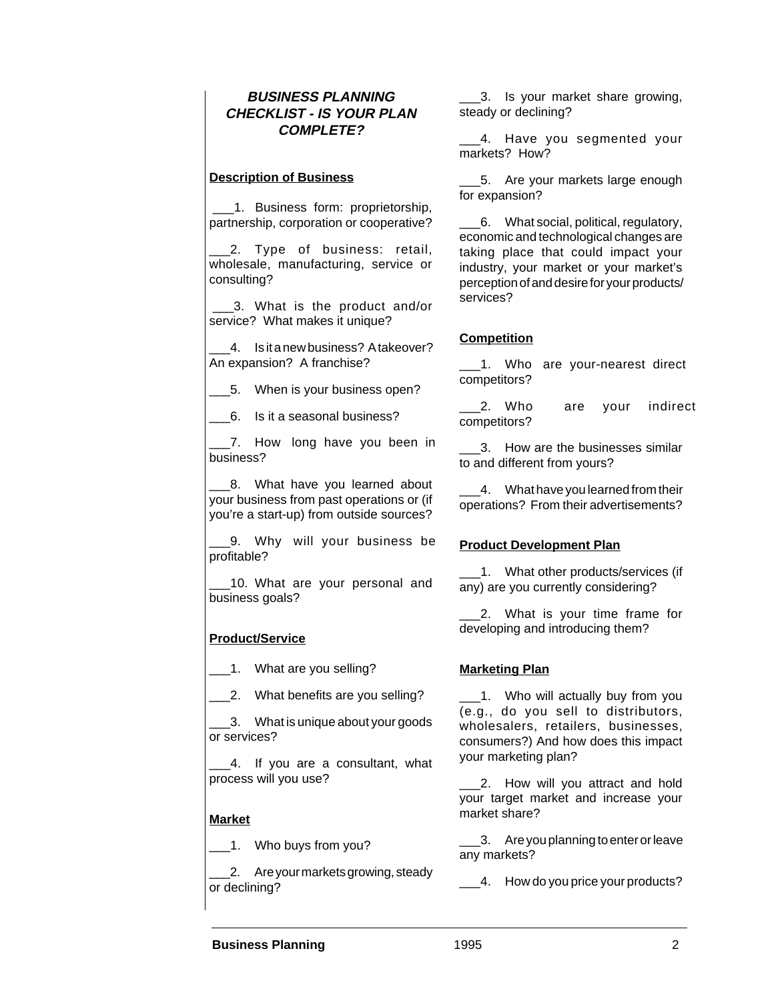#### **BUSINESS PLANNING CHECKLIST - IS YOUR PLAN COMPLETE?**

#### **Description of Business**

 \_\_\_1. Business form: proprietorship, partnership, corporation or cooperative?

2. Type of business: retail, wholesale, manufacturing, service or consulting?

 \_\_\_3. What is the product and/or service? What makes it unique?

4. Is it a new business? A takeover? An expansion? A franchise?

\_5. When is your business open?

\_\_\_6. Is it a seasonal business?

\_\_\_7. How long have you been in business?

\_8. What have you learned about your business from past operations or (if you're a start-up) from outside sources?

\_\_\_9. Why will your business be profitable?

10. What are your personal and business goals?

#### **Product/Service**

1. What are you selling?

\_2. What benefits are you selling?

\_\_\_3. What is unique about your goods or services?

4. If you are a consultant, what process will you use?

#### **Market**

\_\_\_1. Who buys from you?

2. Are your markets growing, steady or declining?

\_\_\_3. Is your market share growing, steady or declining?

\_4. Have you segmented your markets? How?

\_\_\_5. Are your markets large enough for expansion?

\_\_\_6. What social, political, regulatory, economic and technological changes are taking place that could impact your industry, your market or your market's perception of and desire for your products/ services?

#### **Competition**

1. Who are your-nearest direct competitors?

2. Who are your indirect competitors?

\_\_\_3. How are the businesses similar to and different from yours?

4. What have you learned from their operations? From their advertisements?

#### **Product Development Plan**

1. What other products/services (if any) are you currently considering?

\_\_\_2. What is your time frame for developing and introducing them?

#### **Marketing Plan**

\_\_\_1. Who will actually buy from you (e.g., do you sell to distributors, wholesalers, retailers, businesses, consumers?) And how does this impact your marketing plan?

\_\_\_2. How will you attract and hold your target market and increase your market share?

\_\_\_3. Are you planning to enter or leave any markets?

\_\_4. How do you price your products?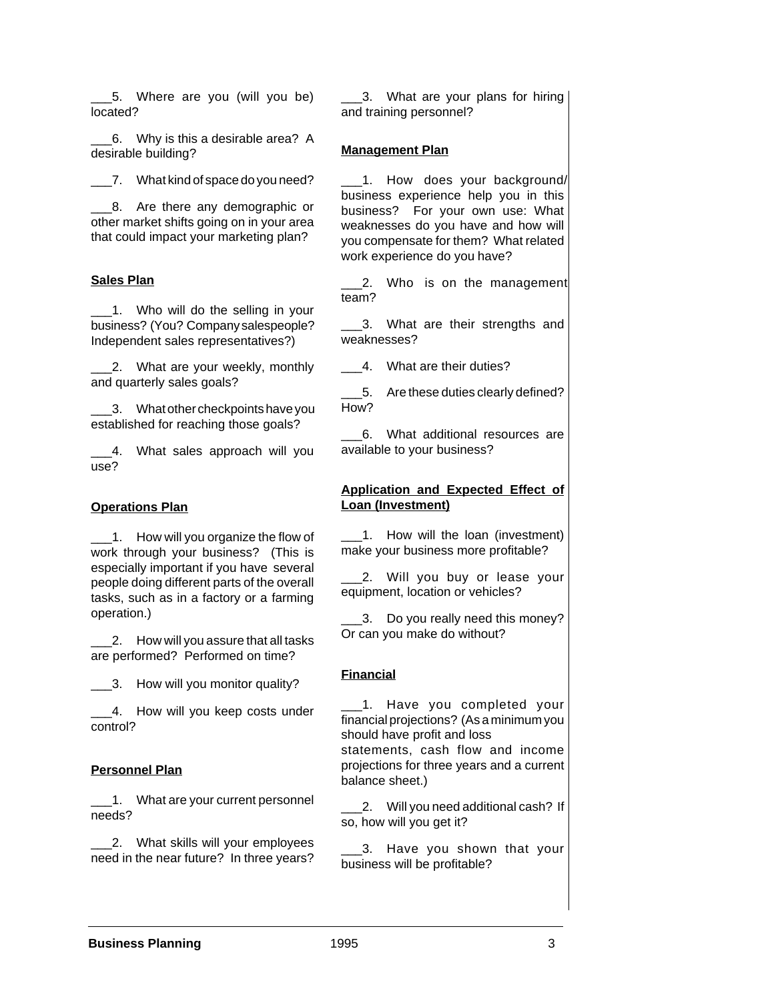\_\_\_5. Where are you (will you be) located?

\_\_\_6. Why is this a desirable area? A desirable building?

\_\_\_7. What kind of space do you need?

\_\_\_8. Are there any demographic or other market shifts going on in your area that could impact your marketing plan?

#### **Sales Plan**

1. Who will do the selling in your business? (You? Company salespeople? Independent sales representatives?)

2. What are your weekly, monthly and quarterly sales goals?

\_\_\_3. What other checkpoints have you established for reaching those goals?

\_4. What sales approach will you use?

#### **Operations Plan**

1. How will you organize the flow of work through your business? (This is especially important if you have several people doing different parts of the overall tasks, such as in a factory or a farming operation.)

\_\_\_2. How will you assure that all tasks are performed? Performed on time?

3. How will you monitor quality?

4. How will you keep costs under control?

#### **Personnel Plan**

\_\_\_1. What are your current personnel needs?

2. What skills will your employees need in the near future? In three years?

\_\_\_3. What are your plans for hiring and training personnel?

#### **Management Plan**

\_\_\_1. How does your background/ business experience help you in this business? For your own use: What weaknesses do you have and how will you compensate for them? What related work experience do you have?

2. Who is on the management team?

13. What are their strengths and weaknesses?

4. What are their duties?

\_\_\_5. Are these duties clearly defined? How?

\_\_\_6. What additional resources are available to your business?

#### **Application and Expected Effect of Loan (Investment)**

1. How will the loan (investment) make your business more profitable?

2. Will you buy or lease your equipment, location or vehicles?

1. Do you really need this money? Or can you make do without?

#### **Financial**

1. Have you completed your financial projections? (As a minimum you should have profit and loss statements, cash flow and income projections for three years and a current balance sheet.)

\_\_\_2. Will you need additional cash? If so, how will you get it?

\_\_\_3. Have you shown that your business will be profitable?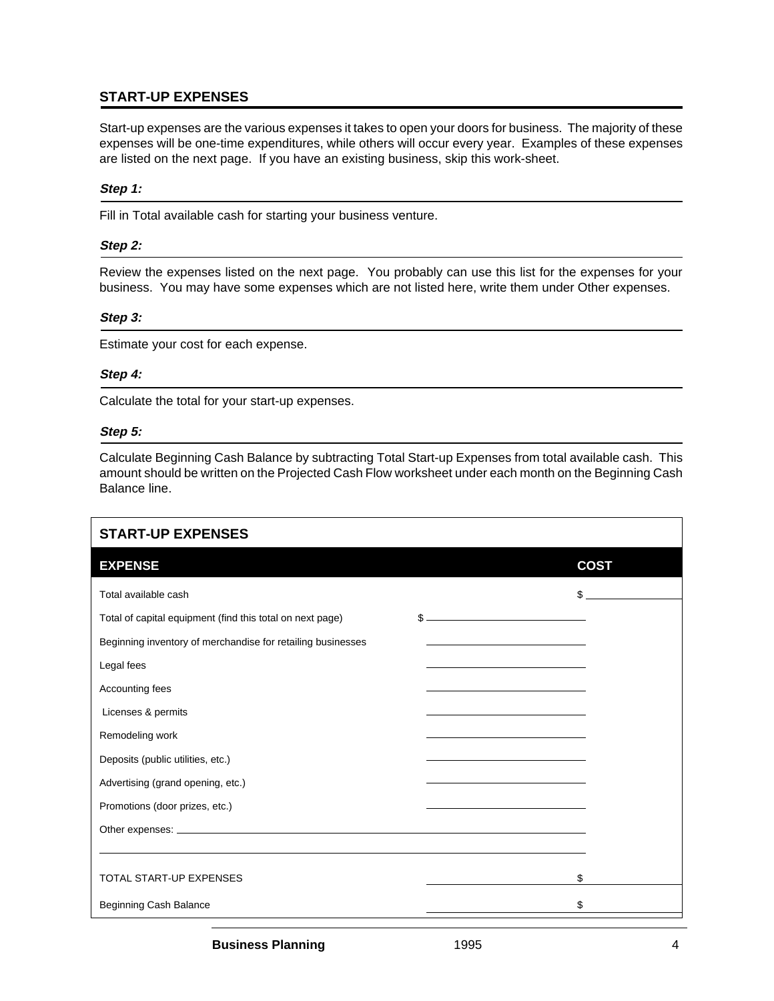### **START-UP EXPENSES**

Start-up expenses are the various expenses it takes to open your doors for business. The majority of these expenses will be one-time expenditures, while others will occur every year. Examples of these expenses are listed on the next page. If you have an existing business, skip this work-sheet.

#### **Step 1:**

Fill in Total available cash for starting your business venture.

#### **Step 2:**

Review the expenses listed on the next page. You probably can use this list for the expenses for your business. You may have some expenses which are not listed here, write them under Other expenses.

#### **Step 3:**

Estimate your cost for each expense.

#### **Step 4:**

Calculate the total for your start-up expenses.

#### **Step 5:**

Calculate Beginning Cash Balance by subtracting Total Start-up Expenses from total available cash. This amount should be written on the Projected Cash Flow worksheet under each month on the Beginning Cash Balance line.

| <b>START-UP EXPENSES</b>                                    |                                                                            |             |
|-------------------------------------------------------------|----------------------------------------------------------------------------|-------------|
| <b>EXPENSE</b>                                              |                                                                            | <b>COST</b> |
| Total available cash                                        |                                                                            | \$          |
| Total of capital equipment (find this total on next page)   |                                                                            |             |
| Beginning inventory of merchandise for retailing businesses |                                                                            |             |
| Legal fees                                                  | the control of the control of the control of the control of the control of |             |
| Accounting fees                                             |                                                                            |             |
| Licenses & permits                                          |                                                                            |             |
| Remodeling work                                             |                                                                            |             |
| Deposits (public utilities, etc.)                           |                                                                            |             |
| Advertising (grand opening, etc.)                           | <u> 1989 - Johann Barn, amerikansk politiker (</u>                         |             |
| Promotions (door prizes, etc.)                              |                                                                            |             |
|                                                             |                                                                            |             |
|                                                             |                                                                            |             |
| <b>TOTAL START-UP EXPENSES</b>                              |                                                                            | \$          |
| Beginning Cash Balance                                      |                                                                            | \$          |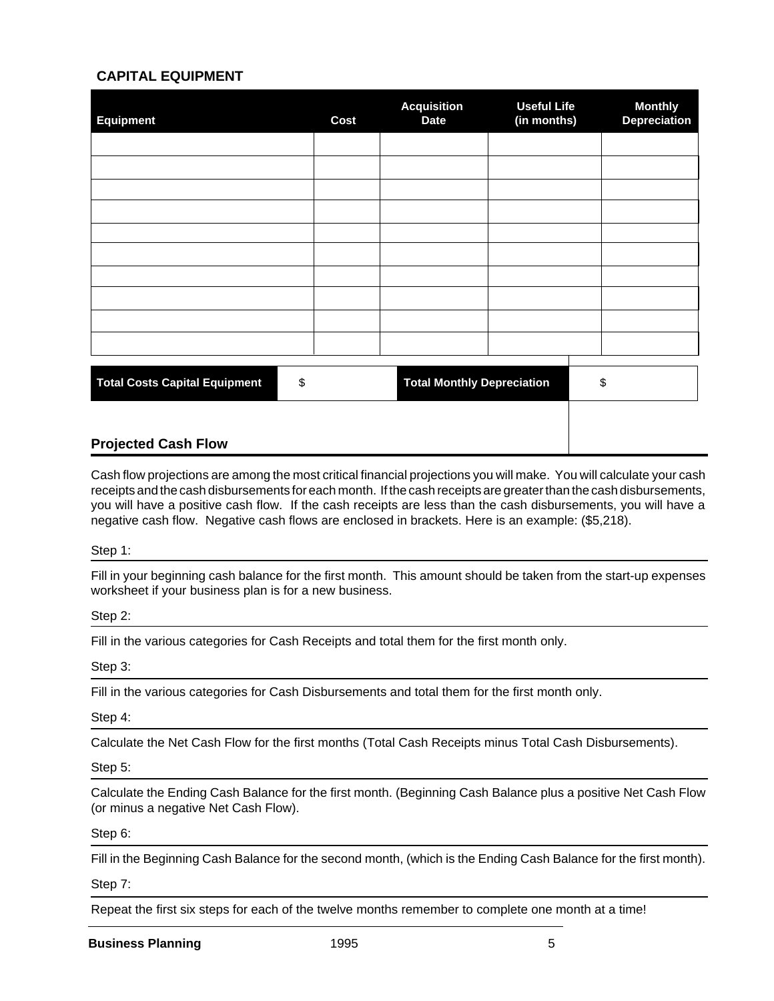#### **CAPITAL EQUIPMENT**

| <b>Equipment</b>                           | <b>Cost</b> | <b>Acquisition</b><br><b>Date</b> | <b>Useful Life</b><br>(in months) | <b>Monthly</b><br><b>Depreciation</b> |
|--------------------------------------------|-------------|-----------------------------------|-----------------------------------|---------------------------------------|
|                                            |             |                                   |                                   |                                       |
|                                            |             |                                   |                                   |                                       |
|                                            |             |                                   |                                   |                                       |
|                                            |             |                                   |                                   |                                       |
|                                            |             |                                   |                                   |                                       |
|                                            |             |                                   |                                   |                                       |
|                                            |             |                                   |                                   |                                       |
|                                            |             |                                   |                                   |                                       |
| <b>Total Costs Capital Equipment</b><br>\$ |             | <b>Total Monthly Depreciation</b> |                                   | \$                                    |
|                                            |             |                                   |                                   |                                       |

#### **Projected Cash Flow**

Cash flow projections are among the most critical financial projections you will make. You will calculate your cash receipts and the cash disbursements for each month. If the cash receipts are greater than the cash disbursements, you will have a positive cash flow. If the cash receipts are less than the cash disbursements, you will have a negative cash flow. Negative cash flows are enclosed in brackets. Here is an example: (\$5,218).

#### Step 1:

Fill in your beginning cash balance for the first month. This amount should be taken from the start-up expenses worksheet if your business plan is for a new business.

#### Step 2:

Fill in the various categories for Cash Receipts and total them for the first month only.

#### Step 3:

Fill in the various categories for Cash Disbursements and total them for the first month only.

Step 4:

Calculate the Net Cash Flow for the first months (Total Cash Receipts minus Total Cash Disbursements).

Step 5:

Calculate the Ending Cash Balance for the first month. (Beginning Cash Balance plus a positive Net Cash Flow (or minus a negative Net Cash Flow).

Step 6:

Fill in the Beginning Cash Balance for the second month, (which is the Ending Cash Balance for the first month).

Step 7:

Repeat the first six steps for each of the twelve months remember to complete one month at a time!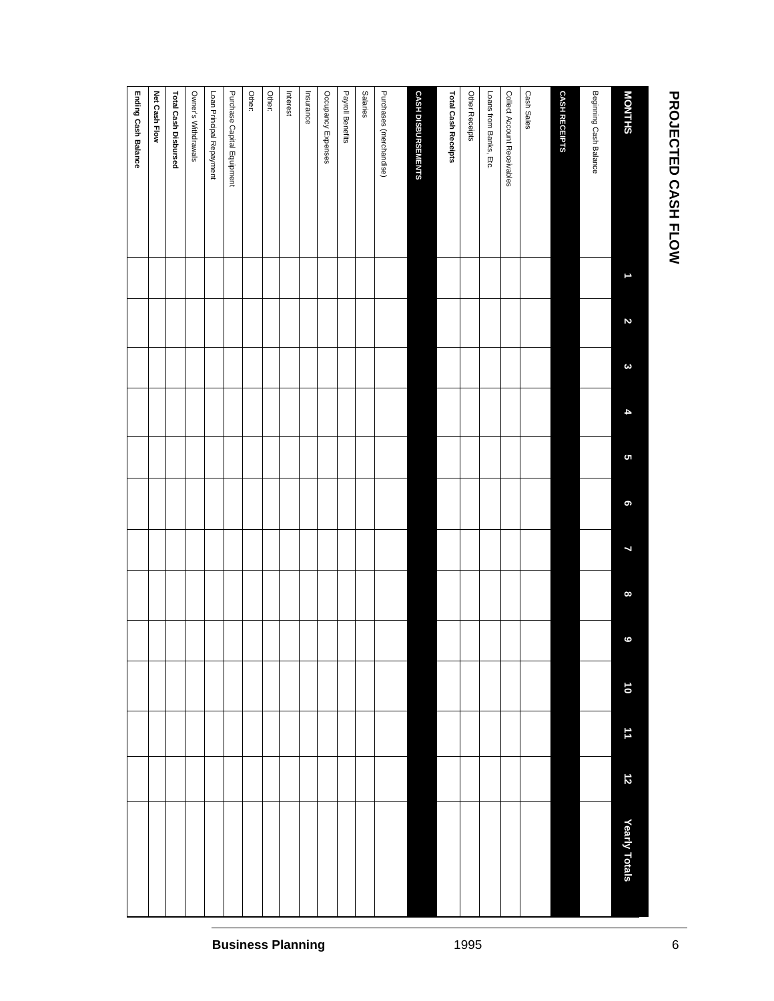| <b>PROJECTED CASH FLOW</b>  |                          |                |          |                      |          |           |                          |                |                |           |         |           |               | $\,$ 6 $\,$              |
|-----------------------------|--------------------------|----------------|----------|----------------------|----------|-----------|--------------------------|----------------|----------------|-----------|---------|-----------|---------------|--------------------------|
| <b>MONTHS</b>               | $\overline{\phantom{0}}$ | $\overline{c}$ | $\omega$ | $\blacktriangleleft$ | <b>ຕ</b> | $\bullet$ | $\overline{\phantom{a}}$ | $\pmb{\infty}$ | $\ddot{\circ}$ | $\vec{0}$ | $\pm 1$ | $\vec{z}$ | Yearly Totals |                          |
| Beginning Cash Balance      |                          |                |          |                      |          |           |                          |                |                |           |         |           |               |                          |
| <b>CASH RECEIPTS</b>        |                          |                |          |                      |          |           |                          |                |                |           |         |           |               |                          |
| Cash Sales                  |                          |                |          |                      |          |           |                          |                |                |           |         |           |               |                          |
| Collect Account Receivables |                          |                |          |                      |          |           |                          |                |                |           |         |           |               |                          |
| Loans from Banks, Etc.      |                          |                |          |                      |          |           |                          |                |                |           |         |           |               |                          |
| Other Receipts              |                          |                |          |                      |          |           |                          |                |                |           |         |           |               | 1995                     |
| Total Cash Receipts         |                          |                |          |                      |          |           |                          |                |                |           |         |           |               |                          |
| CASH DISBURSEMENTS          |                          |                |          |                      |          |           |                          |                |                |           |         |           |               |                          |
| Purchases (merchandise)     |                          |                |          |                      |          |           |                          |                |                |           |         |           |               |                          |
| Salaries                    |                          |                |          |                      |          |           |                          |                |                |           |         |           |               |                          |
| Payroll Benefits            |                          |                |          |                      |          |           |                          |                |                |           |         |           |               |                          |
| Occupancy Expenses          |                          |                |          |                      |          |           |                          |                |                |           |         |           |               |                          |
| Insurance                   |                          |                |          |                      |          |           |                          |                |                |           |         |           |               |                          |
| Interest                    |                          |                |          |                      |          |           |                          |                |                |           |         |           |               | <b>Business Planning</b> |
| Other:                      |                          |                |          |                      |          |           |                          |                |                |           |         |           |               |                          |
| <b>Other:</b>               |                          |                |          |                      |          |           |                          |                |                |           |         |           |               |                          |
| Purchase Capital Equipment  |                          |                |          |                      |          |           |                          |                |                |           |         |           |               |                          |
| Loan Principal Repayment    |                          |                |          |                      |          |           |                          |                |                |           |         |           |               |                          |
| Owner's Withdrawals         |                          |                |          |                      |          |           |                          |                |                |           |         |           |               |                          |
| Total Cash Disbursed        |                          |                |          |                      |          |           |                          |                |                |           |         |           |               |                          |
| <b>Net Cash Flow</b>        |                          |                |          |                      |          |           |                          |                |                |           |         |           |               |                          |
| Ending Cash Balance         |                          |                |          |                      |          |           |                          |                |                |           |         |           |               |                          |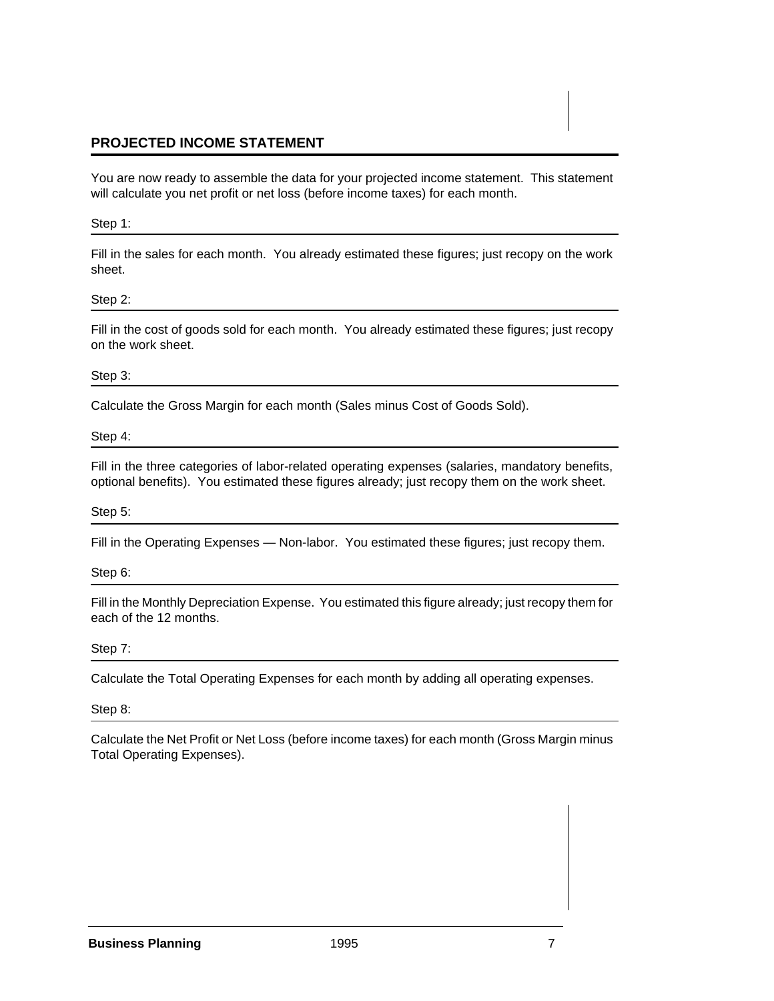#### **PROJECTED INCOME STATEMENT**

You are now ready to assemble the data for your projected income statement. This statement will calculate you net profit or net loss (before income taxes) for each month.

#### Step 1:

Fill in the sales for each month. You already estimated these figures; just recopy on the work sheet.

#### Step 2:

Fill in the cost of goods sold for each month. You already estimated these figures; just recopy on the work sheet.

#### Step 3:

Calculate the Gross Margin for each month (Sales minus Cost of Goods Sold).

#### Step 4:

Fill in the three categories of labor-related operating expenses (salaries, mandatory benefits, optional benefits). You estimated these figures already; just recopy them on the work sheet.

#### Step 5:

Fill in the Operating Expenses — Non-labor. You estimated these figures; just recopy them.

#### Step 6:

Fill in the Monthly Depreciation Expense. You estimated this figure already; just recopy them for each of the 12 months.

#### Step 7:

Calculate the Total Operating Expenses for each month by adding all operating expenses.

#### Step 8:

Calculate the Net Profit or Net Loss (before income taxes) for each month (Gross Margin minus Total Operating Expenses).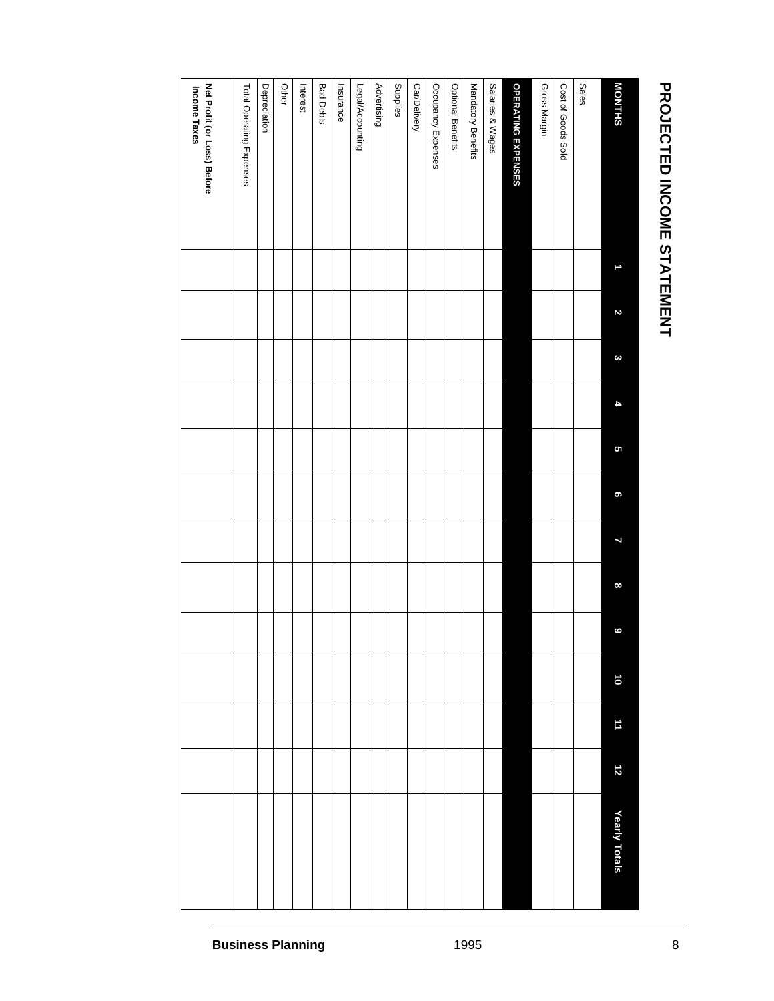# PROJECTED INCOME STATEMENT **PROJECTED INCOME STATEMENT**

| <b>MONTHS</b>                               | Z | $\boldsymbol{\omega}$ | þ | S | 9 | L | $\infty$ | $\ddot{\circ}$ | $\overline{\mathbf{0}}$ | 11 | $\vec{z}$ | Yearly Totals |
|---------------------------------------------|---|-----------------------|---|---|---|---|----------|----------------|-------------------------|----|-----------|---------------|
| <b>Sales</b>                                |   |                       |   |   |   |   |          |                |                         |    |           |               |
| Cost of Goods Sold                          |   |                       |   |   |   |   |          |                |                         |    |           |               |
| Gross Margin                                |   |                       |   |   |   |   |          |                |                         |    |           |               |
| OPERATING EXPENSES                          |   |                       |   |   |   |   |          |                |                         |    |           |               |
| Salaries & Wages                            |   |                       |   |   |   |   |          |                |                         |    |           |               |
| Mandatory Benefits                          |   |                       |   |   |   |   |          |                |                         |    |           |               |
| <b>Optional Benefits</b>                    |   |                       |   |   |   |   |          |                |                         |    |           |               |
| Occupancy Expenses                          |   |                       |   |   |   |   |          |                |                         |    |           |               |
| Car/Delivery                                |   |                       |   |   |   |   |          |                |                         |    |           |               |
| Supplies                                    |   |                       |   |   |   |   |          |                |                         |    |           |               |
| Advertising                                 |   |                       |   |   |   |   |          |                |                         |    |           |               |
| Legal/Accounting                            |   |                       |   |   |   |   |          |                |                         |    |           |               |
| Insurance                                   |   |                       |   |   |   |   |          |                |                         |    |           |               |
| <b>Bad Debts</b>                            |   |                       |   |   |   |   |          |                |                         |    |           |               |
| Interest                                    |   |                       |   |   |   |   |          |                |                         |    |           |               |
| Other                                       |   |                       |   |   |   |   |          |                |                         |    |           |               |
| Depreciation                                |   |                       |   |   |   |   |          |                |                         |    |           |               |
| Total Operating Expenses                    |   |                       |   |   |   |   |          |                |                         |    |           |               |
| Net Profit (or Loss) Before<br>Income Taxes |   |                       |   |   |   |   |          |                |                         |    |           |               |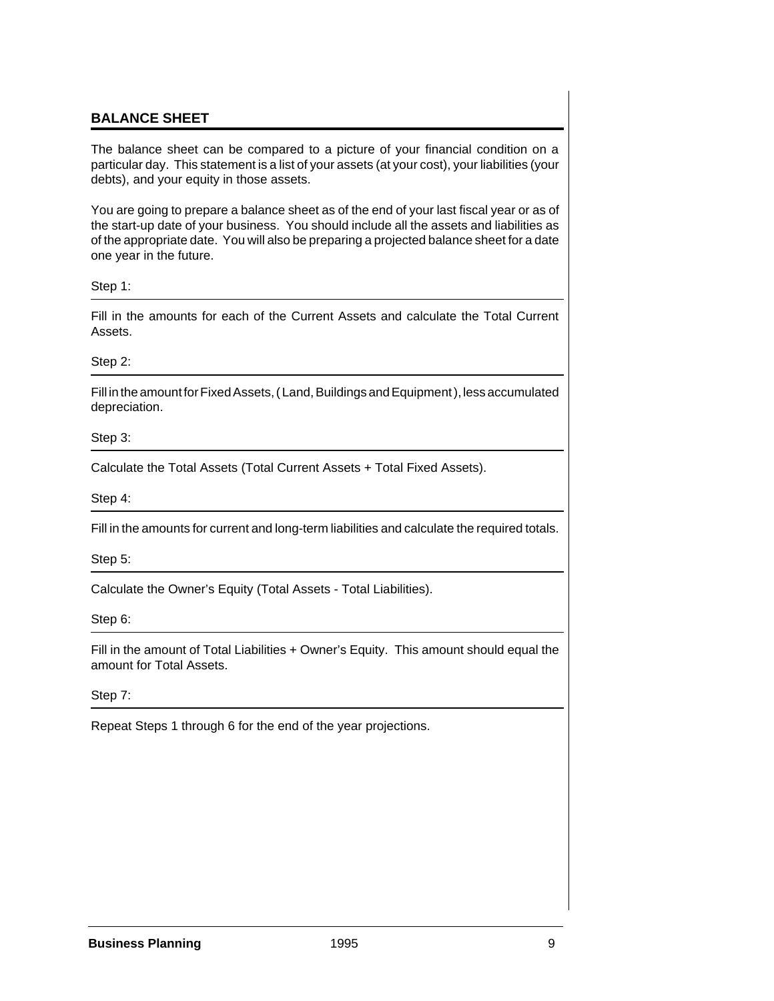#### **BALANCE SHEET**

The balance sheet can be compared to a picture of your financial condition on a particular day. This statement is a list of your assets (at your cost), your liabilities (your debts), and your equity in those assets.

You are going to prepare a balance sheet as of the end of your last fiscal year or as of the start-up date of your business. You should include all the assets and liabilities as of the appropriate date. You will also be preparing a projected balance sheet for a date one year in the future.

Step 1:

Fill in the amounts for each of the Current Assets and calculate the Total Current Assets.

Step 2:

Fill in the amount for Fixed Assets, ( Land, Buildings and Equipment ), less accumulated depreciation.

Step 3:

Calculate the Total Assets (Total Current Assets + Total Fixed Assets).

Step 4:

Fill in the amounts for current and long-term liabilities and calculate the required totals.

Step 5:

Calculate the Owner's Equity (Total Assets - Total Liabilities).

Step 6:

Fill in the amount of Total Liabilities + Owner's Equity. This amount should equal the amount for Total Assets.

Step 7:

Repeat Steps 1 through 6 for the end of the year projections.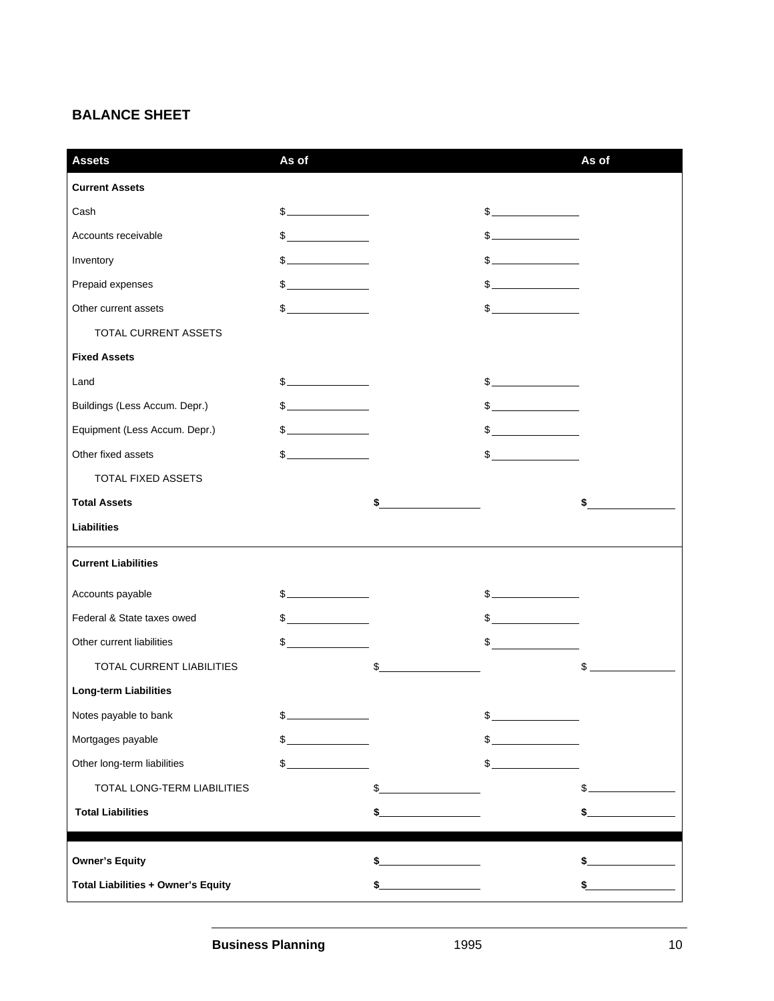## **BALANCE SHEET**

| <b>Assets</b>                             | As of                                                                      |                                                                                                                                                                                                                                                                                                                                                                     | As of  |
|-------------------------------------------|----------------------------------------------------------------------------|---------------------------------------------------------------------------------------------------------------------------------------------------------------------------------------------------------------------------------------------------------------------------------------------------------------------------------------------------------------------|--------|
| <b>Current Assets</b>                     |                                                                            |                                                                                                                                                                                                                                                                                                                                                                     |        |
| Cash                                      | $\sim$                                                                     | $\frac{1}{2}$                                                                                                                                                                                                                                                                                                                                                       |        |
| Accounts receivable                       | $\frac{1}{2}$                                                              | s                                                                                                                                                                                                                                                                                                                                                                   |        |
| Inventory                                 | $\overline{\phantom{a}}$ . The contract of $\overline{\phantom{a}}$<br>\$. |                                                                                                                                                                                                                                                                                                                                                                     |        |
| Prepaid expenses                          | $\mathfrak s$                                                              | $\frac{1}{2}$                                                                                                                                                                                                                                                                                                                                                       |        |
| Other current assets                      | $\mathbb{S}$                                                               | $\frac{1}{2}$                                                                                                                                                                                                                                                                                                                                                       |        |
| TOTAL CURRENT ASSETS                      |                                                                            |                                                                                                                                                                                                                                                                                                                                                                     |        |
| <b>Fixed Assets</b>                       |                                                                            |                                                                                                                                                                                                                                                                                                                                                                     |        |
| Land                                      |                                                                            | $\frac{1}{2}$                                                                                                                                                                                                                                                                                                                                                       |        |
| Buildings (Less Accum. Depr.)             | $\frac{1}{2}$                                                              | $\frac{1}{2}$                                                                                                                                                                                                                                                                                                                                                       |        |
| Equipment (Less Accum. Depr.)             | $\frac{1}{2}$                                                              | $\frac{1}{2}$                                                                                                                                                                                                                                                                                                                                                       |        |
| Other fixed assets                        | $\sim$                                                                     | $\sim$                                                                                                                                                                                                                                                                                                                                                              |        |
| TOTAL FIXED ASSETS                        |                                                                            |                                                                                                                                                                                                                                                                                                                                                                     |        |
| <b>Total Assets</b>                       |                                                                            | \$                                                                                                                                                                                                                                                                                                                                                                  | \$     |
| <b>Liabilities</b>                        |                                                                            |                                                                                                                                                                                                                                                                                                                                                                     |        |
| <b>Current Liabilities</b>                |                                                                            |                                                                                                                                                                                                                                                                                                                                                                     |        |
| Accounts payable                          | $\frac{1}{2}$                                                              | $\frac{1}{2}$                                                                                                                                                                                                                                                                                                                                                       |        |
| Federal & State taxes owed                | $\frac{1}{2}$                                                              | $\begin{picture}(20,10) \put(0,0){\vector(1,0){100}} \put(15,0){\vector(1,0){100}} \put(15,0){\vector(1,0){100}} \put(15,0){\vector(1,0){100}} \put(15,0){\vector(1,0){100}} \put(15,0){\vector(1,0){100}} \put(15,0){\vector(1,0){100}} \put(15,0){\vector(1,0){100}} \put(15,0){\vector(1,0){100}} \put(15,0){\vector(1,0){100}} \put(15,0){\vector(1,0){100}} \$ |        |
| Other current liabilities                 | $\frac{1}{2}$                                                              | $\frac{1}{2}$                                                                                                                                                                                                                                                                                                                                                       |        |
| <b>TOTAL CURRENT LIABILITIES</b>          |                                                                            | \$                                                                                                                                                                                                                                                                                                                                                                  | \$     |
| <b>Long-term Liabilities</b>              |                                                                            |                                                                                                                                                                                                                                                                                                                                                                     |        |
| Notes payable to bank                     |                                                                            |                                                                                                                                                                                                                                                                                                                                                                     |        |
| Mortgages payable                         | <u> 1999 - Johann Barnett, f</u><br>$\mathcal{L}_{-}$                      | $\frac{1}{2}$                                                                                                                                                                                                                                                                                                                                                       |        |
| Other long-term liabilities               | $\frac{1}{2}$                                                              | $\mathfrak{s}_-$                                                                                                                                                                                                                                                                                                                                                    |        |
| TOTAL LONG-TERM LIABILITIES               |                                                                            |                                                                                                                                                                                                                                                                                                                                                                     |        |
| <b>Total Liabilities</b>                  |                                                                            | \$                                                                                                                                                                                                                                                                                                                                                                  | $\sim$ |
|                                           |                                                                            |                                                                                                                                                                                                                                                                                                                                                                     |        |
| <b>Owner's Equity</b>                     |                                                                            |                                                                                                                                                                                                                                                                                                                                                                     |        |
| <b>Total Liabilities + Owner's Equity</b> |                                                                            |                                                                                                                                                                                                                                                                                                                                                                     |        |